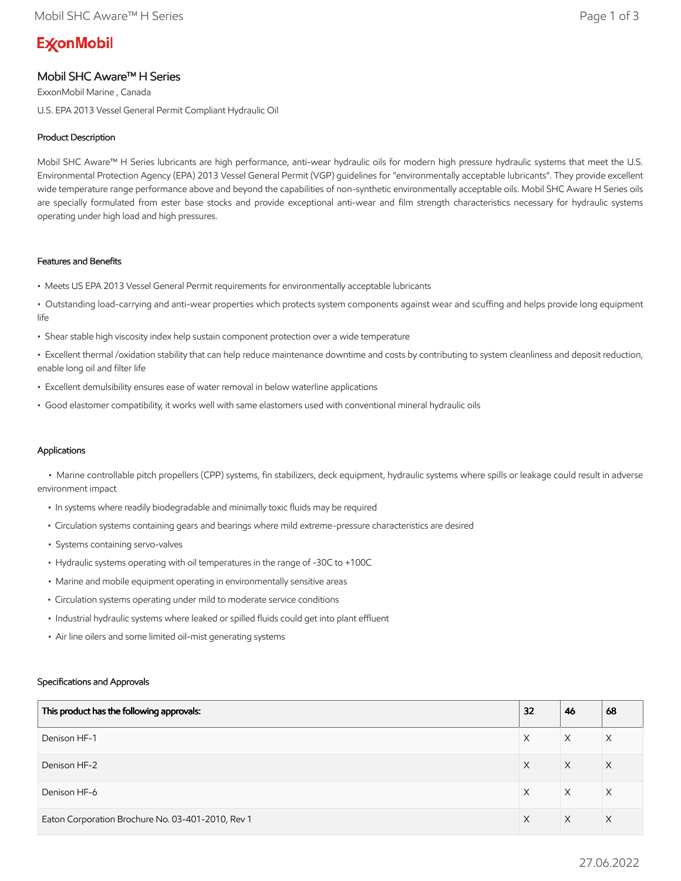# **ExconMobil**

# Mobil SHC Aware™ H Series

ExxonMobil Marine , Canada U.S. EPA 2013 Vessel General Permit Compliant Hydraulic Oil

## Product Description

Mobil SHC Aware™ H Series lubricants are high performance, anti-wear hydraulic oils for modern high pressure hydraulic systems that meet the U.S. Environmental Protection Agency (EPA) 2013 Vessel General Permit (VGP) guidelines for "environmentally acceptable lubricants". They provide excellent wide temperature range performance above and beyond the capabilities of non-synthetic environmentally acceptable oils. Mobil SHC Aware H Series oils are specially formulated from ester base stocks and provide exceptional anti-wear and film strength characteristics necessary for hydraulic systems operating under high load and high pressures.

## Features and Benefits

- Meets US EPA 2013 Vessel General Permit requirements for environmentally acceptable lubricants
- Outstanding load-carrying and anti-wear properties which protects system components against wear and scuffing and helps provide long equipment life
- Shear stable high viscosity index help sustain component protection over a wide temperature
- Excellent thermal /oxidation stability that can help reduce maintenance downtime and costs by contributing to system cleanliness and deposit reduction, enable long oil and filter life
- Excellent demulsibility ensures ease of water removal in below waterline applications
- Good elastomer compatibility, it works well with same elastomers used with conventional mineral hydraulic oils

## Applications

 • Marine controllable pitch propellers (CPP) systems, fin stabilizers, deck equipment, hydraulic systems where spills or leakage could result in adverse environment impact

- In systems where readily biodegradable and minimally toxic fluids may be required
- Circulation systems containing gears and bearings where mild extreme-pressure characteristics are desired
- Systems containing servo-valves
- Hydraulic systems operating with oil temperatures in the range of -30C to +100C
- Marine and mobile equipment operating in environmentally sensitive areas
- Circulation systems operating under mild to moderate service conditions
- Industrial hydraulic systems where leaked or spilled fluids could get into plant effluent
- Air line oilers and some limited oil-mist generating systems

#### Specifications and Approvals

| This product has the following approvals:         | 32 | 46 | 68       |
|---------------------------------------------------|----|----|----------|
| Denison HF-1                                      | X  | X  | Χ        |
| Denison HF-2                                      | X  | X  | $\times$ |
| Denison HF-6                                      | X  | X  | X        |
| Eaton Corporation Brochure No. 03-401-2010, Rev 1 | X  | X  | $\times$ |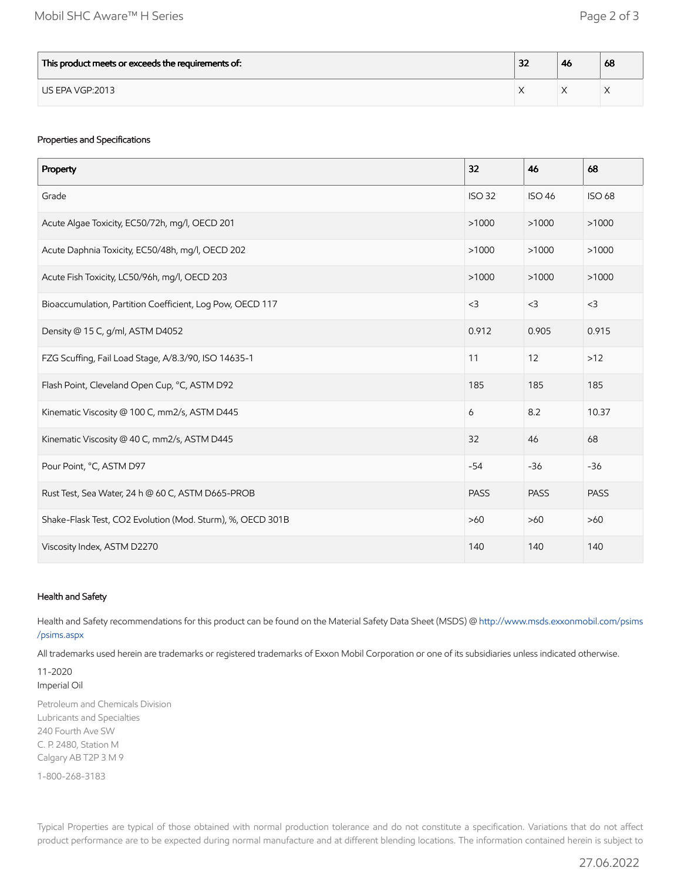| This product meets or exceeds the requirements of: | - 10<br>ж | -46 | 68 |
|----------------------------------------------------|-----------|-----|----|
| US EPA VGP:2013                                    |           |     |    |

## Properties and Specifications

| Property                                                   | 32            | 46            | 68            |
|------------------------------------------------------------|---------------|---------------|---------------|
| Grade                                                      | <b>ISO 32</b> | <b>ISO 46</b> | <b>ISO 68</b> |
| Acute Algae Toxicity, EC50/72h, mg/l, OECD 201             | >1000         | >1000         | >1000         |
| Acute Daphnia Toxicity, EC50/48h, mg/l, OECD 202           | >1000         | >1000         | >1000         |
| Acute Fish Toxicity, LC50/96h, mg/l, OECD 203              | >1000         | >1000         | >1000         |
| Bioaccumulation, Partition Coefficient, Log Pow, OECD 117  | $<$ 3         | $<$ 3         | $<$ 3         |
| Density @ 15 C, g/ml, ASTM D4052                           | 0.912         | 0.905         | 0.915         |
| FZG Scuffing, Fail Load Stage, A/8.3/90, ISO 14635-1       | 11            | 12            | $>12$         |
| Flash Point, Cleveland Open Cup, °C, ASTM D92              | 185           | 185           | 185           |
| Kinematic Viscosity @ 100 C, mm2/s, ASTM D445              | 6             | 8.2           | 10.37         |
| Kinematic Viscosity @ 40 C, mm2/s, ASTM D445               | 32            | 46            | 68            |
| Pour Point, °C, ASTM D97                                   | $-54$         | $-36$         | $-36$         |
| Rust Test, Sea Water, 24 h @ 60 C, ASTM D665-PROB          | <b>PASS</b>   | <b>PASS</b>   | <b>PASS</b>   |
| Shake-Flask Test, CO2 Evolution (Mod. Sturm), %, OECD 301B | $>60$         | $>60$         | $>60$         |
| Viscosity Index, ASTM D2270                                | 140           | 140           | 140           |

#### Health and Safety

Health and Safety recommendations for this product can be found on the Material Safety Data Sheet (MSDS) @ [http://www.msds.exxonmobil.com/psims](http://www.msds.exxonmobil.com/psims/psims.aspx) /psims.aspx

All trademarks used herein are trademarks or registered trademarks of Exxon Mobil Corporation or one of its subsidiaries unless indicated otherwise.

11-2020 Imperial Oil

Petroleum and Chemicals Division Lubricants and Specialties 240 Fourth Ave SW C. P. 2480, Station M Calgary AB T2P 3 M 9

1-800-268-3183

Typical Properties are typical of those obtained with normal production tolerance and do not constitute a specification. Variations that do not affect product performance are to be expected during normal manufacture and at different blending locations. The information contained herein is subject to